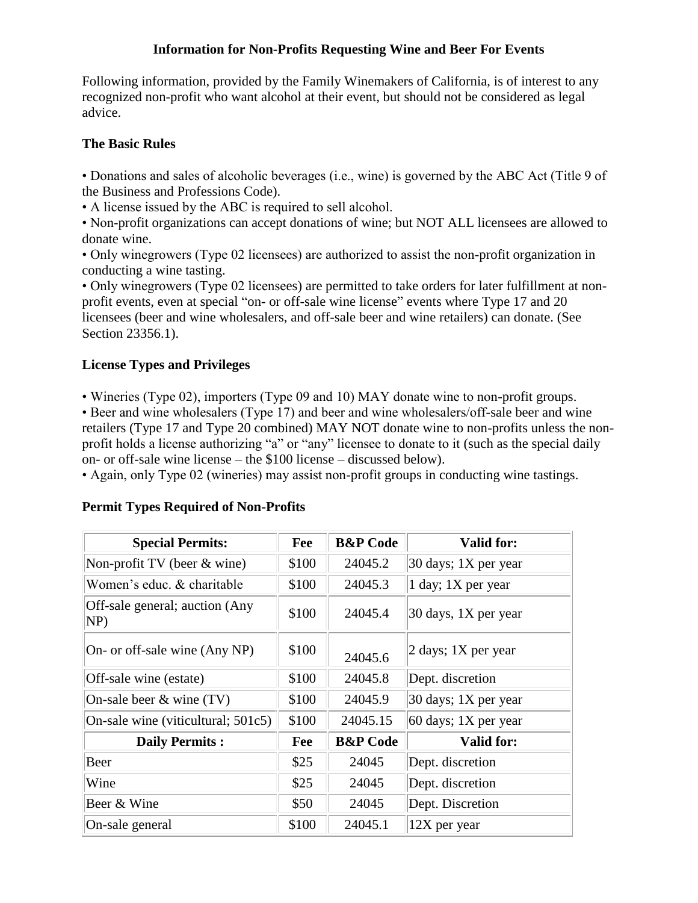### **Information for Non-Profits Requesting Wine and Beer For Events**

Following information, provided by the Family Winemakers of California, is of interest to any recognized non-profit who want alcohol at their event, but should not be considered as legal advice.

# **The Basic Rules**

• Donations and sales of alcoholic beverages (i.e., wine) is governed by the ABC Act (Title 9 of the Business and Professions Code).

• A license issued by the ABC is required to sell alcohol.

• Non-profit organizations can accept donations of wine; but NOT ALL licensees are allowed to donate wine.

• Only winegrowers (Type 02 licensees) are authorized to assist the non-profit organization in conducting a wine tasting.

• Only winegrowers (Type 02 licensees) are permitted to take orders for later fulfillment at nonprofit events, even at special "on- or off-sale wine license" events where Type 17 and 20 licensees (beer and wine wholesalers, and off-sale beer and wine retailers) can donate. (See Section 23356.1).

# **License Types and Privileges**

• Wineries (Type 02), importers (Type 09 and 10) MAY donate wine to non-profit groups.

• Beer and wine wholesalers (Type 17) and beer and wine wholesalers/off-sale beer and wine retailers (Type 17 and Type 20 combined) MAY NOT donate wine to non-profits unless the nonprofit holds a license authorizing "a" or "any" licensee to donate to it (such as the special daily on- or off-sale wine license – the \$100 license – discussed below).

• Again, only Type 02 (wineries) may assist non-profit groups in conducting wine tastings.

| <b>Special Permits:</b>                | Fee   | <b>B&amp;P</b> Code | <b>Valid for:</b>                      |
|----------------------------------------|-------|---------------------|----------------------------------------|
| Non-profit TV (beer $&$ wine)          | \$100 | 24045.2             | 30 days; 1X per year                   |
| Women's educ. & charitable             | \$100 | 24045.3             | 1 day; 1X per year                     |
| Off-sale general; auction (Any)<br>NP) | \$100 | 24045.4             | 30 days, 1X per year                   |
| On- or off-sale wine (Any NP)          | \$100 | 24045.6             | $ 2 \text{ days}; 1X \text{ per year}$ |
| Off-sale wine (estate)                 | \$100 | 24045.8             | Dept. discretion                       |
| On-sale beer $\&$ wine (TV)            | \$100 | 24045.9             | 30 days; 1X per year                   |
| On-sale wine (viticultural; 501c5)     | \$100 | 24045.15            | $60$ days; 1X per year                 |
| <b>Daily Permits:</b>                  | Fee   | <b>B&amp;P</b> Code | <b>Valid for:</b>                      |
| Beer                                   | \$25  | 24045               | Dept. discretion                       |
| Wine                                   | \$25  | 24045               | Dept. discretion                       |
| Beer & Wine                            | \$50  | 24045               | Dept. Discretion                       |
| On-sale general                        | \$100 | 24045.1             | 12X per year                           |

#### **Permit Types Required of Non-Profits**